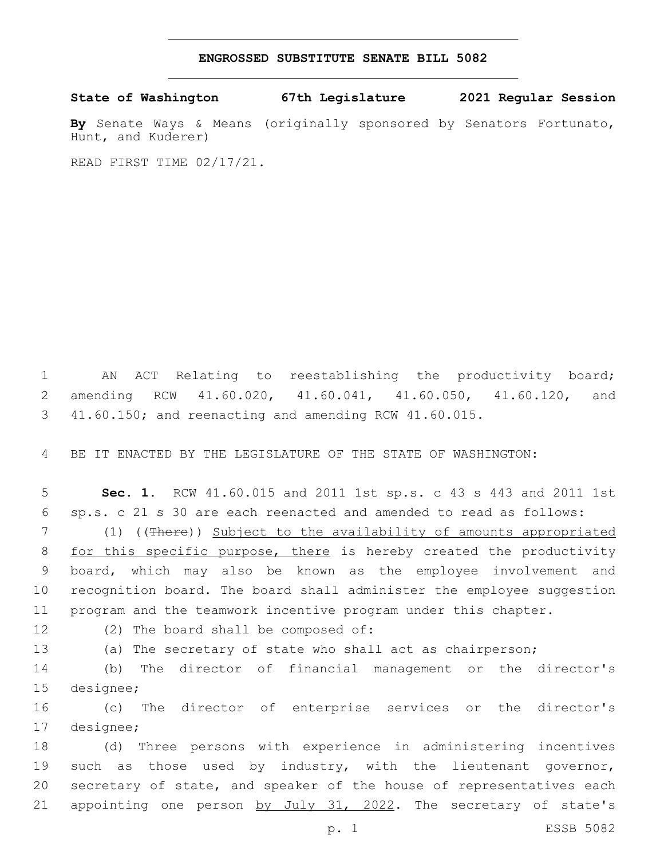## **ENGROSSED SUBSTITUTE SENATE BILL 5082**

**State of Washington 67th Legislature 2021 Regular Session**

**By** Senate Ways & Means (originally sponsored by Senators Fortunato, Hunt, and Kuderer)

READ FIRST TIME 02/17/21.

1 AN ACT Relating to reestablishing the productivity board; 2 amending RCW 41.60.020, 41.60.041, 41.60.050, 41.60.120, and 3 41.60.150; and reenacting and amending RCW 41.60.015.

4 BE IT ENACTED BY THE LEGISLATURE OF THE STATE OF WASHINGTON:

5 **Sec. 1.** RCW 41.60.015 and 2011 1st sp.s. c 43 s 443 and 2011 1st 6 sp.s. c 21 s 30 are each reenacted and amended to read as follows:

 (1) ((There)) Subject to the availability of amounts appropriated 8 for this specific purpose, there is hereby created the productivity board, which may also be known as the employee involvement and recognition board. The board shall administer the employee suggestion program and the teamwork incentive program under this chapter.

12 (2) The board shall be composed of:

13 (a) The secretary of state who shall act as chairperson;

14 (b) The director of financial management or the director's 15 designee;

16 (c) The director of enterprise services or the director's 17 designee;

18 (d) Three persons with experience in administering incentives 19 such as those used by industry, with the lieutenant governor, 20 secretary of state, and speaker of the house of representatives each 21 appointing one person by July 31, 2022. The secretary of state's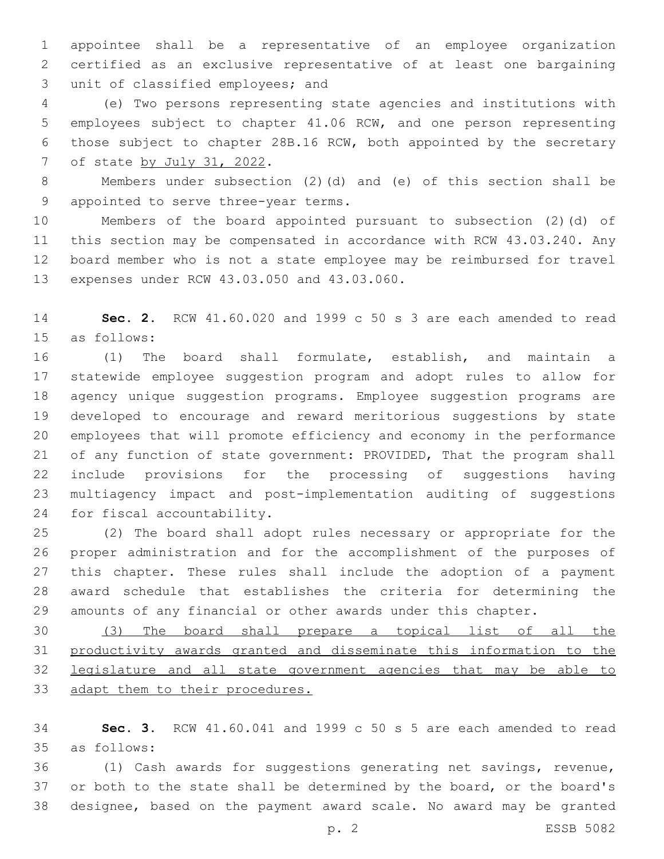appointee shall be a representative of an employee organization certified as an exclusive representative of at least one bargaining 3 unit of classified employees; and

 (e) Two persons representing state agencies and institutions with employees subject to chapter 41.06 RCW, and one person representing those subject to chapter 28B.16 RCW, both appointed by the secretary 7 of state by July 31, 2022.

 Members under subsection (2)(d) and (e) of this section shall be 9 appointed to serve three-year terms.

 Members of the board appointed pursuant to subsection (2)(d) of this section may be compensated in accordance with RCW 43.03.240. Any board member who is not a state employee may be reimbursed for travel 13 expenses under RCW 43.03.050 and 43.03.060.

 **Sec. 2.** RCW 41.60.020 and 1999 c 50 s 3 are each amended to read 15 as follows:

 (1) The board shall formulate, establish, and maintain a statewide employee suggestion program and adopt rules to allow for agency unique suggestion programs. Employee suggestion programs are developed to encourage and reward meritorious suggestions by state employees that will promote efficiency and economy in the performance of any function of state government: PROVIDED, That the program shall include provisions for the processing of suggestions having multiagency impact and post-implementation auditing of suggestions 24 for fiscal accountability.

 (2) The board shall adopt rules necessary or appropriate for the proper administration and for the accomplishment of the purposes of this chapter. These rules shall include the adoption of a payment award schedule that establishes the criteria for determining the amounts of any financial or other awards under this chapter.

 (3) The board shall prepare a topical list of all the productivity awards granted and disseminate this information to the legislature and all state government agencies that may be able to 33 adapt them to their procedures.

 **Sec. 3.** RCW 41.60.041 and 1999 c 50 s 5 are each amended to read as follows:35

 (1) Cash awards for suggestions generating net savings, revenue, 37 or both to the state shall be determined by the board, or the board's designee, based on the payment award scale. No award may be granted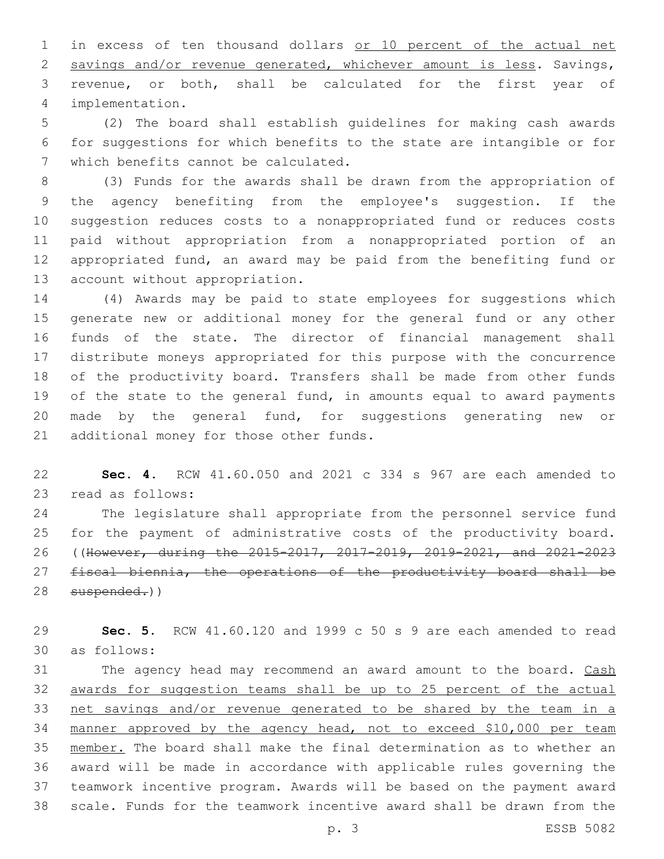in excess of ten thousand dollars or 10 percent of the actual net savings and/or revenue generated, whichever amount is less. Savings, revenue, or both, shall be calculated for the first year of implementation.4

 (2) The board shall establish guidelines for making cash awards for suggestions for which benefits to the state are intangible or for 7 which benefits cannot be calculated.

 (3) Funds for the awards shall be drawn from the appropriation of the agency benefiting from the employee's suggestion. If the suggestion reduces costs to a nonappropriated fund or reduces costs paid without appropriation from a nonappropriated portion of an appropriated fund, an award may be paid from the benefiting fund or 13 account without appropriation.

 (4) Awards may be paid to state employees for suggestions which generate new or additional money for the general fund or any other funds of the state. The director of financial management shall distribute moneys appropriated for this purpose with the concurrence of the productivity board. Transfers shall be made from other funds of the state to the general fund, in amounts equal to award payments made by the general fund, for suggestions generating new or 21 additional money for those other funds.

 **Sec. 4.** RCW 41.60.050 and 2021 c 334 s 967 are each amended to 23 read as follows:

 The legislature shall appropriate from the personnel service fund for the payment of administrative costs of the productivity board. ((However, during the 2015-2017, 2017-2019, 2019-2021, and 2021-2023 27 fiscal biennia, the operations of the productivity board shall be 28 suspended.))

 **Sec. 5.** RCW 41.60.120 and 1999 c 50 s 9 are each amended to read as follows:30

31 The agency head may recommend an award amount to the board. Cash awards for suggestion teams shall be up to 25 percent of the actual net savings and/or revenue generated to be shared by the team in a manner approved by the agency head, not to exceed \$10,000 per team member. The board shall make the final determination as to whether an award will be made in accordance with applicable rules governing the teamwork incentive program. Awards will be based on the payment award scale. Funds for the teamwork incentive award shall be drawn from the

p. 3 ESSB 5082